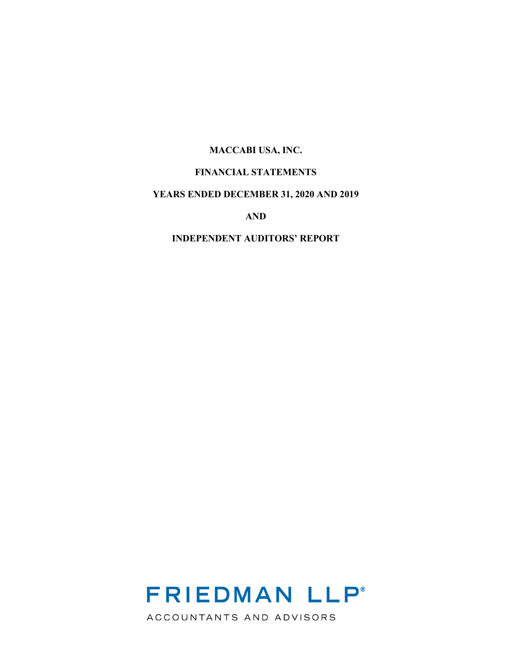# **FINANCIAL STATEMENTS**

# **YEARS ENDED DECEMBER 31, 2020 AND 2019**

**AND** 

# **INDEPENDENT AUDITORS' REPORT**



ACCOUNTANTS AND ADVISORS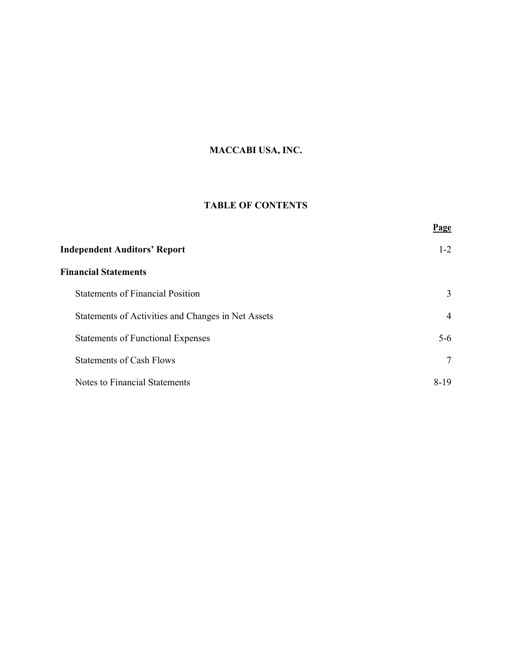# **TABLE OF CONTENTS**

|                                                    | Page           |
|----------------------------------------------------|----------------|
| <b>Independent Auditors' Report</b>                | $1 - 2$        |
| <b>Financial Statements</b>                        |                |
| <b>Statements of Financial Position</b>            | 3              |
| Statements of Activities and Changes in Net Assets | $\overline{4}$ |
| <b>Statements of Functional Expenses</b>           | $5-6$          |
| <b>Statements of Cash Flows</b>                    | $\tau$         |
| Notes to Financial Statements                      | $8-19$         |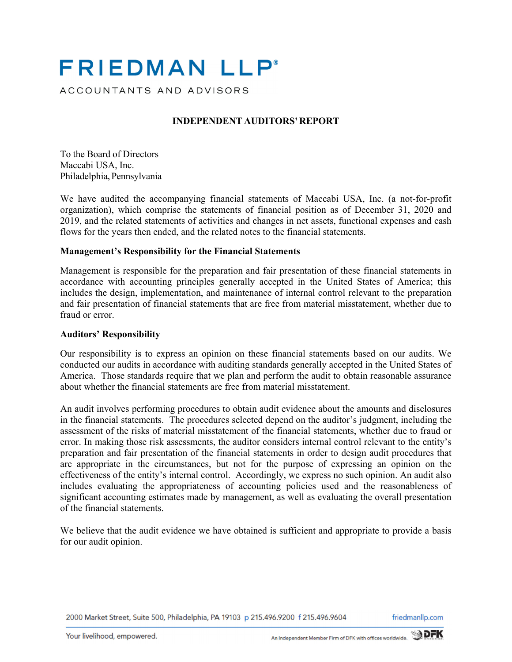# **FRIEDMAN LLP®**

ACCOUNTANTS AND ADVISORS

# **INDEPENDENT AUDITORS' REPORT**

To the Board of Directors Maccabi USA, Inc. Philadelphia, Pennsylvania

We have audited the accompanying financial statements of Maccabi USA, Inc. (a not-for-profit organization), which comprise the statements of financial position as of December 31, 2020 and 2019, and the related statements of activities and changes in net assets, functional expenses and cash flows for the years then ended, and the related notes to the financial statements.

#### **Management's Responsibility for the Financial Statements**

Management is responsible for the preparation and fair presentation of these financial statements in accordance with accounting principles generally accepted in the United States of America; this includes the design, implementation, and maintenance of internal control relevant to the preparation and fair presentation of financial statements that are free from material misstatement, whether due to fraud or error.

#### **Auditors' Responsibility**

Our responsibility is to express an opinion on these financial statements based on our audits. We conducted our audits in accordance with auditing standards generally accepted in the United States of America. Those standards require that we plan and perform the audit to obtain reasonable assurance about whether the financial statements are free from material misstatement.

An audit involves performing procedures to obtain audit evidence about the amounts and disclosures in the financial statements. The procedures selected depend on the auditor's judgment, including the assessment of the risks of material misstatement of the financial statements, whether due to fraud or error. In making those risk assessments, the auditor considers internal control relevant to the entity's preparation and fair presentation of the financial statements in order to design audit procedures that are appropriate in the circumstances, but not for the purpose of expressing an opinion on the effectiveness of the entity's internal control. Accordingly, we express no such opinion. An audit also includes evaluating the appropriateness of accounting policies used and the reasonableness of significant accounting estimates made by management, as well as evaluating the overall presentation of the financial statements.

We believe that the audit evidence we have obtained is sufficient and appropriate to provide a basis for our audit opinion.

2000 Market Street, Suite 500, Philadelphia, PA 19103 p 215.496.9200 f 215.496.9604

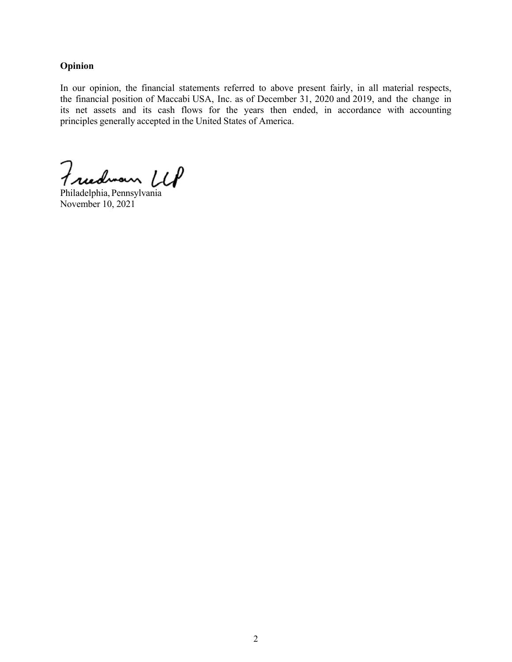## **Opinion**

In our opinion, the financial statements referred to above present fairly, in all material respects, the financial position of Maccabi USA, Inc. as of December 31, 2020 and 2019, and the change in its net assets and its cash flows for the years then ended, in accordance with accounting principles generally accepted in the United States of America.

Freedman UP

Philadelphia, Pennsylvania November 10, 2021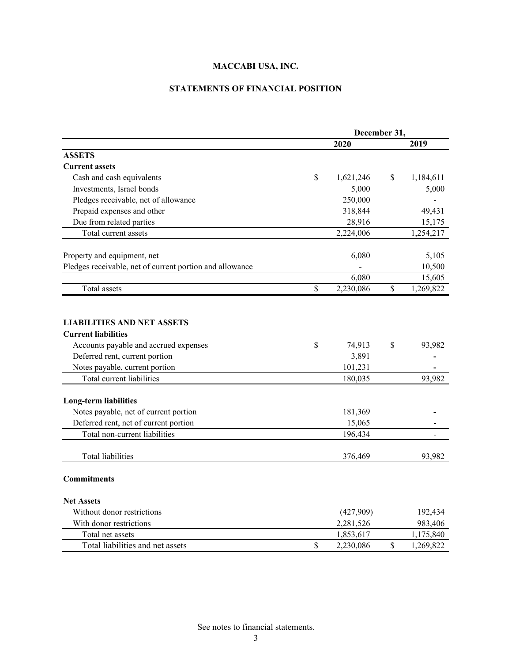# **STATEMENTS OF FINANCIAL POSITION**

|                                                                                                                                                                              | December 31, |                            |               |           |  |
|------------------------------------------------------------------------------------------------------------------------------------------------------------------------------|--------------|----------------------------|---------------|-----------|--|
|                                                                                                                                                                              |              | 2020                       |               | 2019      |  |
| <b>ASSETS</b>                                                                                                                                                                |              |                            |               |           |  |
| <b>Current assets</b>                                                                                                                                                        |              |                            |               |           |  |
| Cash and cash equivalents                                                                                                                                                    | \$           | 1,621,246                  | \$            | 1,184,611 |  |
| Investments, Israel bonds                                                                                                                                                    |              | 5,000                      |               | 5,000     |  |
| Pledges receivable, net of allowance                                                                                                                                         |              | 250,000                    |               |           |  |
| Prepaid expenses and other                                                                                                                                                   |              | 318,844                    |               | 49,431    |  |
| Due from related parties                                                                                                                                                     |              | 28,916                     |               | 15,175    |  |
| Total current assets                                                                                                                                                         |              | 2,224,006                  |               | 1,254,217 |  |
| Property and equipment, net                                                                                                                                                  |              | 6,080                      |               | 5,105     |  |
| Pledges receivable, net of current portion and allowance                                                                                                                     |              |                            |               | 10,500    |  |
|                                                                                                                                                                              |              | 6,080                      |               | 15,605    |  |
| Total assets                                                                                                                                                                 | \$           | 2,230,086                  | $\mathcal{S}$ | 1,269,822 |  |
| <b>LIABILITIES AND NET ASSETS</b><br><b>Current liabilities</b><br>Accounts payable and accrued expenses<br>Deferred rent, current portion<br>Notes payable, current portion | \$           | 74,913<br>3,891<br>101,231 | $\mathbb{S}$  | 93,982    |  |
| Total current liabilities                                                                                                                                                    |              | 180,035                    |               | 93,982    |  |
| <b>Long-term liabilities</b><br>Notes payable, net of current portion<br>Deferred rent, net of current portion                                                               |              | 181,369<br>15,065          |               |           |  |
| Total non-current liabilities                                                                                                                                                |              | 196,434                    |               |           |  |
| <b>Total liabilities</b>                                                                                                                                                     |              | 376,469                    |               | 93,982    |  |
| <b>Commitments</b>                                                                                                                                                           |              |                            |               |           |  |
| <b>Net Assets</b>                                                                                                                                                            |              |                            |               |           |  |
| Without donor restrictions                                                                                                                                                   |              | (427,909)                  |               | 192,434   |  |
| With donor restrictions                                                                                                                                                      |              | 2,281,526                  |               | 983,406   |  |
| Total net assets                                                                                                                                                             |              | 1,853,617                  |               | 1,175,840 |  |
| Total liabilities and net assets                                                                                                                                             | \$           | 2,230,086                  | \$            | 1,269,822 |  |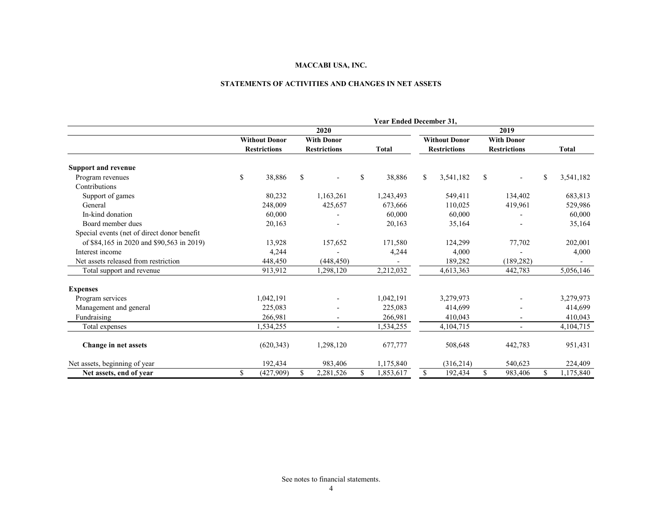#### **STATEMENTS OF ACTIVITIES AND CHANGES IN NET ASSETS**

|                                             | <b>Year Ended December 31,</b> |                      |                   |                          |               |              |                      |                     |    |                          |    |           |
|---------------------------------------------|--------------------------------|----------------------|-------------------|--------------------------|---------------|--------------|----------------------|---------------------|----|--------------------------|----|-----------|
|                                             |                                |                      |                   | 2020                     |               |              | 2019                 |                     |    |                          |    |           |
|                                             |                                | <b>Without Donor</b> | <b>With Donor</b> |                          |               |              | <b>Without Donor</b> |                     |    | <b>With Donor</b>        |    |           |
|                                             |                                | <b>Restrictions</b>  |                   | <b>Restrictions</b>      |               | <b>Total</b> |                      | <b>Restrictions</b> |    | <b>Restrictions</b>      |    | Total     |
| <b>Support and revenue</b>                  |                                |                      |                   |                          |               |              |                      |                     |    |                          |    |           |
| Program revenues                            | <sup>\$</sup>                  | 38,886               | \$                | $\overline{\phantom{a}}$ | <sup>\$</sup> | 38,886       | \$                   | 3,541,182           | \$ | $\overline{a}$           | S  | 3,541,182 |
| Contributions                               |                                |                      |                   |                          |               |              |                      |                     |    |                          |    |           |
| Support of games                            |                                | 80,232               |                   | 1,163,261                |               | 1,243,493    |                      | 549,411             |    | 134,402                  |    | 683,813   |
| General                                     |                                | 248,009              |                   | 425,657                  |               | 673,666      |                      | 110,025             |    | 419,961                  |    | 529,986   |
| In-kind donation                            |                                | 60,000               |                   |                          |               | 60,000       |                      | 60,000              |    |                          |    | 60,000    |
| Board member dues                           |                                | 20,163               |                   |                          |               | 20,163       |                      | 35,164              |    |                          |    | 35,164    |
| Special events (net of direct donor benefit |                                |                      |                   |                          |               |              |                      |                     |    |                          |    |           |
| of \$84,165 in 2020 and \$90,563 in 2019)   |                                | 13,928               |                   | 157,652                  |               | 171,580      |                      | 124,299             |    | 77,702                   |    | 202,001   |
| Interest income                             |                                | 4,244                |                   |                          |               | 4,244        |                      | 4,000               |    |                          |    | 4,000     |
| Net assets released from restriction        |                                | 448,450              |                   | (448, 450)               |               |              |                      | 189,282             |    | (189, 282)               |    |           |
| Total support and revenue                   |                                | 913,912              |                   | 1,298,120                |               | 2,212,032    |                      | 4,613,363           |    | 442,783                  |    | 5,056,146 |
| <b>Expenses</b>                             |                                |                      |                   |                          |               |              |                      |                     |    |                          |    |           |
| Program services                            |                                | 1,042,191            |                   |                          |               | 1,042,191    |                      | 3,279,973           |    |                          |    | 3,279,973 |
| Management and general                      |                                | 225,083              |                   |                          |               | 225,083      |                      | 414,699             |    |                          |    | 414,699   |
| Fundraising                                 |                                | 266,981              |                   | $\overline{\phantom{a}}$ |               | 266,981      |                      | 410,043             |    | $\overline{\phantom{0}}$ |    | 410,043   |
| Total expenses                              |                                | ,534,255             |                   | $\blacksquare$           |               | 1,534,255    |                      | 4,104,715           |    | $\overline{\phantom{a}}$ |    | 4,104,715 |
| Change in net assets                        |                                | (620, 343)           |                   | 1,298,120                |               | 677,777      |                      | 508,648             |    | 442,783                  |    | 951,431   |
| Net assets, beginning of year               |                                | 192,434              |                   | 983,406                  |               | 1,175,840    |                      | (316,214)           |    | 540,623                  |    | 224,409   |
| Net assets, end of year                     | \$                             | (427,909)            | S                 | 2,281,526                | S.            | 1,853,617    | \$                   | 192,434             | \$ | 983,406                  | \$ | 1,175,840 |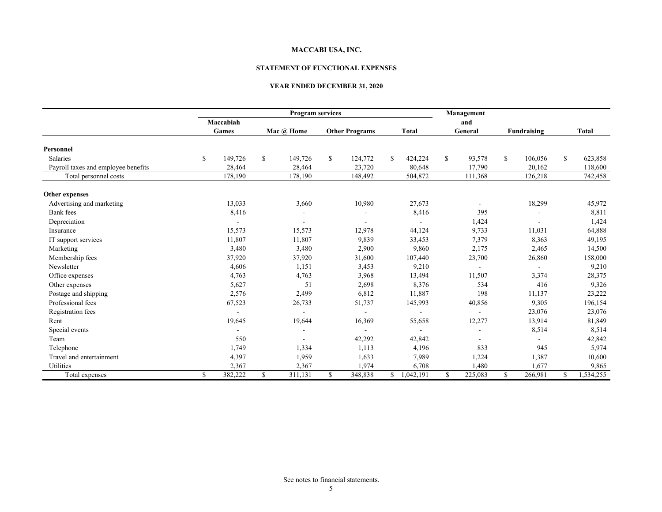#### **STATEMENT OF FUNCTIONAL EXPENSES**

#### **YEAR ENDED DECEMBER 31, 2020**

|                                     | <b>Program services</b> |         |              |                          |    |                          | Management |              |               |                |    |                          |               |
|-------------------------------------|-------------------------|---------|--------------|--------------------------|----|--------------------------|------------|--------------|---------------|----------------|----|--------------------------|---------------|
|                                     | Maccabiah               |         |              |                          |    |                          | and        |              |               |                |    |                          |               |
|                                     |                         | Games   |              | Mac @ Home               |    | <b>Other Programs</b>    |            | <b>Total</b> |               | General        |    | Fundraising              | <b>Total</b>  |
| Personnel                           |                         |         |              |                          |    |                          |            |              |               |                |    |                          |               |
| Salaries                            | S                       | 149,726 | $\mathbb{S}$ | 149,726                  | S. | 124,772                  | S.         | 424,224      | <sup>\$</sup> | 93,578         | \$ | 106,056                  | \$<br>623,858 |
| Payroll taxes and employee benefits |                         | 28,464  |              | 28,464                   |    | 23,720                   |            | 80,648       |               | 17,790         |    | 20,162                   | 118,600       |
| Total personnel costs               |                         | 178,190 |              | 178,190                  |    | 148,492                  |            | 504,872      |               | 111,368        |    | 126,218                  | 742,458       |
| Other expenses                      |                         |         |              |                          |    |                          |            |              |               |                |    |                          |               |
| Advertising and marketing           |                         | 13,033  |              | 3,660                    |    | 10,980                   |            | 27,673       |               |                |    | 18,299                   | 45,972        |
| Bank fees                           |                         | 8,416   |              | $\blacksquare$           |    |                          |            | 8,416        |               | 395            |    |                          | 8,811         |
| Depreciation                        |                         |         |              | $\overline{a}$           |    | $\overline{\phantom{a}}$ |            |              |               | 1,424          |    |                          | 1,424         |
| Insurance                           |                         | 15,573  |              | 15,573                   |    | 12,978                   |            | 44,124       |               | 9,733          |    | 11,031                   | 64,888        |
| IT support services                 |                         | 11,807  |              | 11,807                   |    | 9,839                    |            | 33,453       |               | 7,379          |    | 8,363                    | 49,195        |
| Marketing                           |                         | 3,480   |              | 3,480                    |    | 2,900                    |            | 9,860        |               | 2,175          |    | 2,465                    | 14,500        |
| Membership fees                     |                         | 37,920  |              | 37,920                   |    | 31,600                   |            | 107,440      |               | 23,700         |    | 26,860                   | 158,000       |
| Newsletter                          |                         | 4,606   |              | 1,151                    |    | 3,453                    |            | 9,210        |               | $\blacksquare$ |    | $\overline{\phantom{a}}$ | 9,210         |
| Office expenses                     |                         | 4,763   |              | 4,763                    |    | 3,968                    |            | 13,494       |               | 11,507         |    | 3,374                    | 28,375        |
| Other expenses                      |                         | 5,627   |              | 51                       |    | 2,698                    |            | 8,376        |               | 534            |    | 416                      | 9,326         |
| Postage and shipping                |                         | 2,576   |              | 2,499                    |    | 6,812                    |            | 11,887       |               | 198            |    | 11,137                   | 23,222        |
| Professional fees                   |                         | 67,523  |              | 26,733                   |    | 51,737                   |            | 145,993      |               | 40,856         |    | 9,305                    | 196,154       |
| Registration fees                   |                         | $\sim$  |              | $\overline{a}$           |    | $\overline{\phantom{a}}$ |            |              |               | $\sim$         |    | 23,076                   | 23,076        |
| Rent                                |                         | 19,645  |              | 19,644                   |    | 16,369                   |            | 55,658       |               | 12,277         |    | 13,914                   | 81,849        |
| Special events                      |                         |         |              | ٠                        |    |                          |            |              |               |                |    | 8,514                    | 8,514         |
| Team                                |                         | 550     |              | $\overline{\phantom{a}}$ |    | 42,292                   |            | 42,842       |               |                |    |                          | 42,842        |
| Telephone                           |                         | 1,749   |              | 1,334                    |    | 1,113                    |            | 4,196        |               | 833            |    | 945                      | 5,974         |
| Travel and entertainment            |                         | 4,397   |              | 1,959                    |    | 1,633                    |            | 7,989        |               | 1,224          |    | 1,387                    | 10,600        |
| Utilities                           |                         | 2,367   |              | 2,367                    |    | 1,974                    |            | 6,708        |               | 1,480          |    | 1,677                    | 9,865         |
| Total expenses                      | S                       | 382,222 | \$           | 311,131                  | \$ | 348,838                  |            | 1,042,191    | \$            | 225,083        | \$ | 266,981                  | 1,534,255     |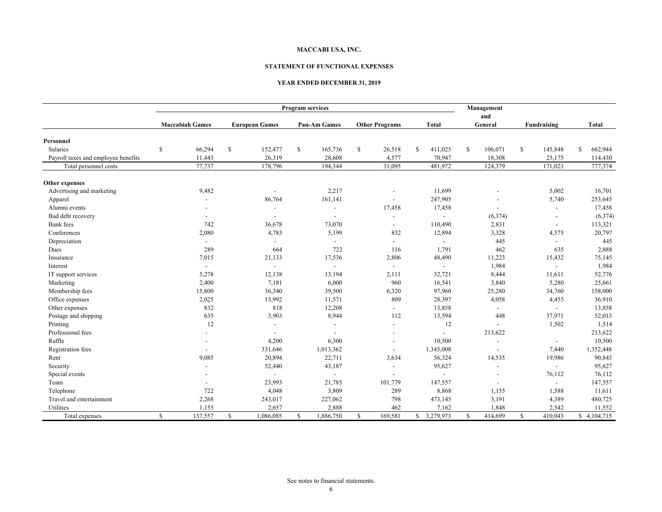#### **STATEMENT OF FUNCTIONAL EXPENSES**

#### **YEAR ENDED DECEMBER 31, 2019**

|                                     | <b>Program services</b> |                        |              |                          |              | Management               |              |                          |              |                          |             |                          |              |                          |   |              |
|-------------------------------------|-------------------------|------------------------|--------------|--------------------------|--------------|--------------------------|--------------|--------------------------|--------------|--------------------------|-------------|--------------------------|--------------|--------------------------|---|--------------|
|                                     |                         | <b>Maccabiah Games</b> |              | <b>European Games</b>    |              | <b>Pan-Am Games</b>      |              | <b>Other Programs</b>    |              | <b>Total</b>             |             | and<br>General           |              | Fundraising              |   | <b>Total</b> |
|                                     |                         |                        |              |                          |              |                          |              |                          |              |                          |             |                          |              |                          |   |              |
| Personnel                           |                         |                        |              |                          |              |                          |              |                          |              |                          |             |                          |              |                          |   |              |
| Salaries                            | $\mathbb{S}$            | 66,294                 | $\mathbb{S}$ | 152,477                  | $\mathbb{S}$ | 165,736                  | $\mathbb{S}$ | 26,518                   | $\mathbb{S}$ | 411,025                  | $\mathbf S$ | 106,071                  | $\mathbb{S}$ | 145,848                  | S | 662,944      |
| Payroll taxes and employee benefits |                         | 11,443                 |              | 26,319                   |              | 28,608                   |              | 4,577                    |              | 70,947                   |             | 18,308                   |              | 25,175                   |   | 114,430      |
| Total personnel costs               |                         | 77,737                 |              | 178,796                  |              | 194,344                  |              | 31,095                   |              | 481,972                  |             | 124,379                  |              | 171,023                  |   | 777,374      |
| Other expenses                      |                         |                        |              |                          |              |                          |              |                          |              |                          |             |                          |              |                          |   |              |
| Advertising and marketing           |                         | 9,482                  |              |                          |              | 2,217                    |              |                          |              | 11,699                   |             |                          |              | 5,002                    |   | 16,701       |
| Apparel                             |                         |                        |              | 86,764                   |              | 161,141                  |              |                          |              | 247,905                  |             |                          |              | 5,740                    |   | 253,645      |
| Alumni events                       |                         |                        |              | $\blacksquare$           |              | $\blacksquare$           |              | 17,458                   |              | 17,458                   |             | $\overline{a}$           |              | $\overline{\phantom{a}}$ |   | 17,458       |
| Bad debt recovery                   |                         |                        |              |                          |              | $\overline{a}$           |              |                          |              | $\overline{\phantom{a}}$ |             | (6,374)                  |              | $\overline{a}$           |   | (6,374)      |
| Bank fees                           |                         | 742                    |              | 36,678                   |              | 73,070                   |              |                          |              | 110,490                  |             | 2,831                    |              | $\overline{\phantom{a}}$ |   | 113,321      |
| Conferences                         |                         | 2,080                  |              | 4,783                    |              | 5,199                    |              | 832                      |              | 12,894                   |             | 3,328                    |              | 4,575                    |   | 20,797       |
| Depreciation                        |                         | $\blacksquare$         |              | $\sim$                   |              | $\blacksquare$           |              | $\overline{\phantom{a}}$ |              | $\sim$                   |             | 445                      |              | $\blacksquare$           |   | 445          |
| Dues                                |                         | 289                    |              | 664                      |              | 722                      |              | 116                      |              | 1,791                    |             | 462                      |              | 635                      |   | 2,888        |
| Insurance                           |                         | 7,015                  |              | 21,133                   |              | 17,536                   |              | 2,806                    |              | 48,490                   |             | 11,223                   |              | 15,432                   |   | 75,145       |
| Interest                            |                         | $\blacksquare$         |              | $\overline{\phantom{a}}$ |              | $\overline{\phantom{a}}$ |              | $\sim$                   |              | $\overline{\phantom{a}}$ |             | 1,984                    |              | $\overline{\phantom{a}}$ |   | 1,984        |
| IT support services                 |                         | 5,278                  |              | 12,138                   |              | 13,194                   |              | 2,111                    |              | 32,721                   |             | 8,444                    |              | 11,611                   |   | 52,776       |
| Marketing                           |                         | 2,400                  |              | 7,181                    |              | 6,000                    |              | 960                      |              | 16,541                   |             | 3,840                    |              | 5,280                    |   | 25,661       |
| Membership fees                     |                         | 15,800                 |              | 36,340                   |              | 39,500                   |              | 6,320                    |              | 97,960                   |             | 25,280                   |              | 34,760                   |   | 158,000      |
| Office expenses                     |                         | 2,025                  |              | 13,992                   |              | 11,571                   |              | 809                      |              | 28,397                   |             | 4,058                    |              | 4,455                    |   | 36,910       |
| Other expenses                      |                         | 832                    |              | 818                      |              | 12,208                   |              | $\sim$                   |              | 13,858                   |             | $\blacksquare$           |              | $\blacksquare$           |   | 13,858       |
| Postage and shipping                |                         | 635                    |              | 3,903                    |              | 8,944                    |              | 112                      |              | 13,594                   |             | 448                      |              | 37,971                   |   | 52,013       |
| Printing                            |                         | 12                     |              | $\overline{a}$           |              | $\sim$                   |              | $\sim$                   |              | 12                       |             | $\overline{a}$           |              | 1,502                    |   | 1,514        |
| Professional fees                   |                         |                        |              |                          |              | $\overline{\phantom{a}}$ |              |                          |              | $\overline{a}$           |             | 213,622                  |              |                          |   | 213,622      |
| Raffle                              |                         |                        |              | 4,200                    |              | 6,300                    |              |                          |              | 10,500                   |             | $\overline{\phantom{a}}$ |              | $\overline{\phantom{a}}$ |   | 10,500       |
| Registration fees                   |                         |                        |              | 331,646                  |              | 1,013,362                |              |                          |              | 1,345,008                |             | $\overline{\phantom{a}}$ |              | 7,440                    |   | 1,352,448    |
| Rent                                |                         | 9,085                  |              | 20,894                   |              | 22,711                   |              | 3,634                    |              | 56,324                   |             | 14,535                   |              | 19,986                   |   | 90,845       |
| Security                            |                         | $\overline{a}$         |              | 52,440                   |              | 43,187                   |              |                          |              | 95,627                   |             | $\overline{a}$           |              | $\blacksquare$           |   | 95,627       |
| Special events                      |                         |                        |              |                          |              |                          |              |                          |              |                          |             | $\overline{a}$           |              | 76,112                   |   | 76,112       |
| Team                                |                         |                        |              | 23,993                   |              | 21,785                   |              | 101,779                  |              | 147,557                  |             |                          |              | $\overline{\phantom{a}}$ |   | 147,557      |
| Telephone                           |                         | 722                    |              | 4,048                    |              | 3,809                    |              | 289                      |              | 8,868                    |             | 1,155                    |              | 1,588                    |   | 11,611       |
| Travel and entertainment            |                         | 2,268                  |              | 243,017                  |              | 227,062                  |              | 798                      |              | 473,145                  |             | 3,191                    |              | 4,389                    |   | 480,725      |
| Utilities                           |                         | 1,155                  |              | 2,657                    |              | 2,888                    |              | 462                      |              | 7,162                    |             | 1,848                    |              | 2,542                    |   | 11,552       |
| Total expenses                      | \$                      | 137,557                | $\mathbb{S}$ | 1,086,085                | $\mathbb{S}$ | 1,886,750                | S.           | 169,581                  | S.           | 3,279,973                | \$          | 414,699                  | $\mathbb{S}$ | 410,043                  |   | \$4,104,715  |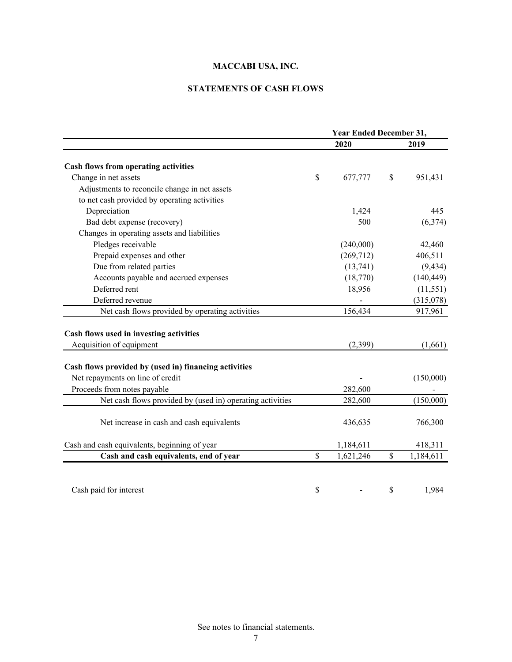# **STATEMENTS OF CASH FLOWS**

|                                                           |              | <b>Year Ended December 31,</b> |      |            |
|-----------------------------------------------------------|--------------|--------------------------------|------|------------|
|                                                           |              | 2020                           |      | 2019       |
| <b>Cash flows from operating activities</b>               |              |                                |      |            |
| Change in net assets                                      | \$           | 677,777                        | \$   | 951,431    |
| Adjustments to reconcile change in net assets             |              |                                |      |            |
| to net cash provided by operating activities              |              |                                |      |            |
| Depreciation                                              |              | 1,424                          |      | 445        |
| Bad debt expense (recovery)                               |              | 500                            |      | (6,374)    |
| Changes in operating assets and liabilities               |              |                                |      |            |
| Pledges receivable                                        |              | (240,000)                      |      | 42,460     |
| Prepaid expenses and other                                |              | (269, 712)                     |      | 406,511    |
| Due from related parties                                  |              | (13,741)                       |      | (9, 434)   |
| Accounts payable and accrued expenses                     |              | (18,770)                       |      | (140, 449) |
| Deferred rent                                             |              | 18,956                         |      | (11, 551)  |
| Deferred revenue                                          |              |                                |      | (315,078)  |
| Net cash flows provided by operating activities           |              | 156,434                        |      | 917,961    |
| Cash flows used in investing activities                   |              |                                |      |            |
| Acquisition of equipment                                  |              | (2,399)                        |      | (1,661)    |
| Cash flows provided by (used in) financing activities     |              |                                |      |            |
| Net repayments on line of credit                          |              |                                |      | (150,000)  |
| Proceeds from notes payable                               |              | 282,600                        |      |            |
| Net cash flows provided by (used in) operating activities |              | 282,600                        |      | (150,000)  |
| Net increase in cash and cash equivalents                 |              | 436,635                        |      | 766,300    |
| Cash and cash equivalents, beginning of year              |              | 1,184,611                      |      | 418,311    |
| Cash and cash equivalents, end of year                    | $\mathbb{S}$ | 1,621,246                      | $\$$ | 1,184,611  |
|                                                           |              |                                |      |            |
| Cash paid for interest                                    | \$           |                                | \$   | 1,984      |

See notes to financial statements.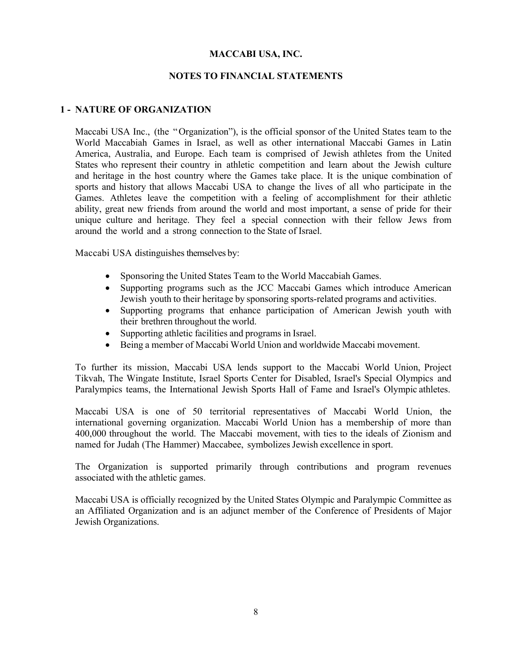#### **NOTES TO FINANCIAL STATEMENTS**

#### **1 - NATURE OF ORGANIZATION**

Maccabi USA Inc., (the " Organization"), is the official sponsor of the United States team to the World Maccabiah Games in Israel, as well as other international Maccabi Games in Latin America, Australia, and Europe. Each team is comprised of Jewish athletes from the United States who represent their country in athletic competition and learn about the Jewish culture and heritage in the host country where the Games take place. It is the unique combination of sports and history that allows Maccabi USA to change the lives of all who participate in the Games. Athletes leave the competition with a feeling of accomplishment for their athletic ability, great new friends from around the world and most important, a sense of pride for their unique culture and heritage. They feel a special connection with their fellow Jews from around the world and a strong connection to the State of Israel.

Maccabi USA distinguishes themselves by:

- Sponsoring the United States Team to the World Maccabiah Games.
- Supporting programs such as the JCC Maccabi Games which introduce American Jewish youth to their heritage by sponsoring sports-related programs and activities.
- Supporting programs that enhance participation of American Jewish youth with their brethren throughout the world.
- Supporting athletic facilities and programs in Israel.
- Being a member of Maccabi World Union and worldwide Maccabi movement.

To further its mission, Maccabi USA lends support to the Maccabi World Union, Project Tikvah, The Wingate Institute, Israel Sports Center for Disabled, Israel's Special Olympics and Paralympics teams, the International Jewish Sports Hall of Fame and Israel's Olympic athletes.

Maccabi USA is one of 50 territorial representatives of Maccabi World Union, the international governing organization. Maccabi World Union has a membership of more than 400,000 throughout the world. The Maccabi movement, with ties to the ideals of Zionism and named for Judah (The Hammer) Maccabee, symbolizes Jewish excellence in sport.

The Organization is supported primarily through contributions and program revenues associated with the athletic games.

Maccabi USA is officially recognized by the United States Olympic and Paralympic Committee as an Affiliated Organization and is an adjunct member of the Conference of Presidents of Major Jewish Organizations.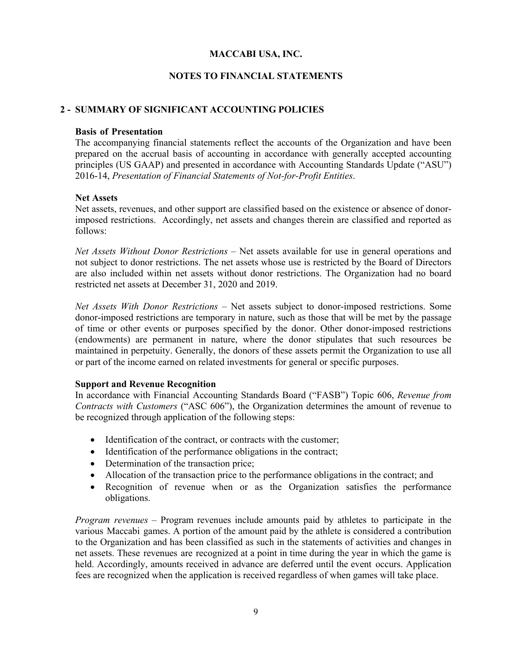## **NOTES TO FINANCIAL STATEMENTS**

#### **2 - SUMMARY OF SIGNIFICANT ACCOUNTING POLICIES**

#### **Basis of Presentation**

The accompanying financial statements reflect the accounts of the Organization and have been prepared on the accrual basis of accounting in accordance with generally accepted accounting principles (US GAAP) and presented in accordance with Accounting Standards Update ("ASU") 2016-14, *Presentation of Financial Statements of Not-for-Profit Entities*.

#### **Net Assets**

Net assets, revenues, and other support are classified based on the existence or absence of donorimposed restrictions. Accordingly, net assets and changes therein are classified and reported as follows:

*Net Assets Without Donor Restrictions* – Net assets available for use in general operations and not subject to donor restrictions. The net assets whose use is restricted by the Board of Directors are also included within net assets without donor restrictions. The Organization had no board restricted net assets at December 31, 2020 and 2019.

*Net Assets With Donor Restrictions* – Net assets subject to donor-imposed restrictions. Some donor-imposed restrictions are temporary in nature, such as those that will be met by the passage of time or other events or purposes specified by the donor. Other donor-imposed restrictions (endowments) are permanent in nature, where the donor stipulates that such resources be maintained in perpetuity. Generally, the donors of these assets permit the Organization to use all or part of the income earned on related investments for general or specific purposes.

#### **Support and Revenue Recognition**

In accordance with Financial Accounting Standards Board ("FASB") Topic 606, *Revenue from Contracts with Customers* ("ASC 606"), the Organization determines the amount of revenue to be recognized through application of the following steps:

- Identification of the contract, or contracts with the customer;
- Identification of the performance obligations in the contract;
- Determination of the transaction price;
- Allocation of the transaction price to the performance obligations in the contract; and
- Recognition of revenue when or as the Organization satisfies the performance obligations.

*Program revenues –* Program revenues include amounts paid by athletes to participate in the various Maccabi games. A portion of the amount paid by the athlete is considered a contribution to the Organization and has been classified as such in the statements of activities and changes in net assets. These revenues are recognized at a point in time during the year in which the game is held. Accordingly, amounts received in advance are deferred until the event occurs. Application fees are recognized when the application is received regardless of when games will take place.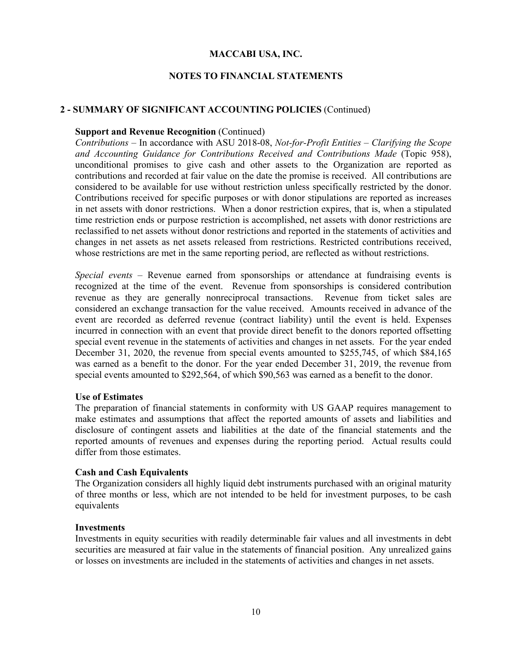#### **NOTES TO FINANCIAL STATEMENTS**

#### **2 - SUMMARY OF SIGNIFICANT ACCOUNTING POLICIES** (Continued)

#### **Support and Revenue Recognition** (Continued)

*Contributions* – In accordance with ASU 2018-08, *Not-for-Profit Entities – Clarifying the Scope and Accounting Guidance for Contributions Received and Contributions Made* (Topic 958), unconditional promises to give cash and other assets to the Organization are reported as contributions and recorded at fair value on the date the promise is received. All contributions are considered to be available for use without restriction unless specifically restricted by the donor. Contributions received for specific purposes or with donor stipulations are reported as increases in net assets with donor restrictions. When a donor restriction expires, that is, when a stipulated time restriction ends or purpose restriction is accomplished, net assets with donor restrictions are reclassified to net assets without donor restrictions and reported in the statements of activities and changes in net assets as net assets released from restrictions. Restricted contributions received, whose restrictions are met in the same reporting period, are reflected as without restrictions.

*Special events* – Revenue earned from sponsorships or attendance at fundraising events is recognized at the time of the event. Revenue from sponsorships is considered contribution revenue as they are generally nonreciprocal transactions. Revenue from ticket sales are considered an exchange transaction for the value received. Amounts received in advance of the event are recorded as deferred revenue (contract liability) until the event is held. Expenses incurred in connection with an event that provide direct benefit to the donors reported offsetting special event revenue in the statements of activities and changes in net assets. For the year ended December 31, 2020, the revenue from special events amounted to \$255,745, of which \$84,165 was earned as a benefit to the donor. For the year ended December 31, 2019, the revenue from special events amounted to \$292,564, of which \$90,563 was earned as a benefit to the donor.

#### **Use of Estimates**

The preparation of financial statements in conformity with US GAAP requires management to make estimates and assumptions that affect the reported amounts of assets and liabilities and disclosure of contingent assets and liabilities at the date of the financial statements and the reported amounts of revenues and expenses during the reporting period. Actual results could differ from those estimates.

#### **Cash and Cash Equivalents**

The Organization considers all highly liquid debt instruments purchased with an original maturity of three months or less, which are not intended to be held for investment purposes, to be cash equivalents

#### **Investments**

Investments in equity securities with readily determinable fair values and all investments in debt securities are measured at fair value in the statements of financial position. Any unrealized gains or losses on investments are included in the statements of activities and changes in net assets.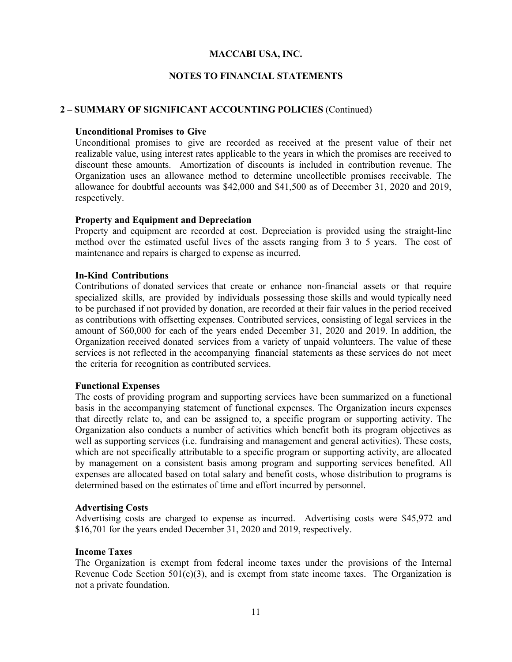#### **NOTES TO FINANCIAL STATEMENTS**

#### **2 – SUMMARY OF SIGNIFICANT ACCOUNTING POLICIES** (Continued)

#### **Unconditional Promises to Give**

Unconditional promises to give are recorded as received at the present value of their net realizable value, using interest rates applicable to the years in which the promises are received to discount these amounts. Amortization of discounts is included in contribution revenue. The Organization uses an allowance method to determine uncollectible promises receivable. The allowance for doubtful accounts was \$42,000 and \$41,500 as of December 31, 2020 and 2019, respectively.

#### **Property and Equipment and Depreciation**

Property and equipment are recorded at cost. Depreciation is provided using the straight-line method over the estimated useful lives of the assets ranging from 3 to 5 years. The cost of maintenance and repairs is charged to expense as incurred.

#### **In-Kind Contributions**

Contributions of donated services that create or enhance non-financial assets or that require specialized skills, are provided by individuals possessing those skills and would typically need to be purchased if not provided by donation, are recorded at their fair values in the period received as contributions with offsetting expenses. Contributed services, consisting of legal services in the amount of \$60,000 for each of the years ended December 31, 2020 and 2019. In addition, the Organization received donated services from a variety of unpaid volunteers. The value of these services is not reflected in the accompanying financial statements as these services do not meet the criteria for recognition as contributed services.

#### **Functional Expenses**

The costs of providing program and supporting services have been summarized on a functional basis in the accompanying statement of functional expenses. The Organization incurs expenses that directly relate to, and can be assigned to, a specific program or supporting activity. The Organization also conducts a number of activities which benefit both its program objectives as well as supporting services (i.e. fundraising and management and general activities). These costs, which are not specifically attributable to a specific program or supporting activity, are allocated by management on a consistent basis among program and supporting services benefited. All expenses are allocated based on total salary and benefit costs, whose distribution to programs is determined based on the estimates of time and effort incurred by personnel.

#### **Advertising Costs**

Advertising costs are charged to expense as incurred. Advertising costs were \$45,972 and \$16,701 for the years ended December 31, 2020 and 2019, respectively.

#### **Income Taxes**

The Organization is exempt from federal income taxes under the provisions of the Internal Revenue Code Section  $501(c)(3)$ , and is exempt from state income taxes. The Organization is not a private foundation.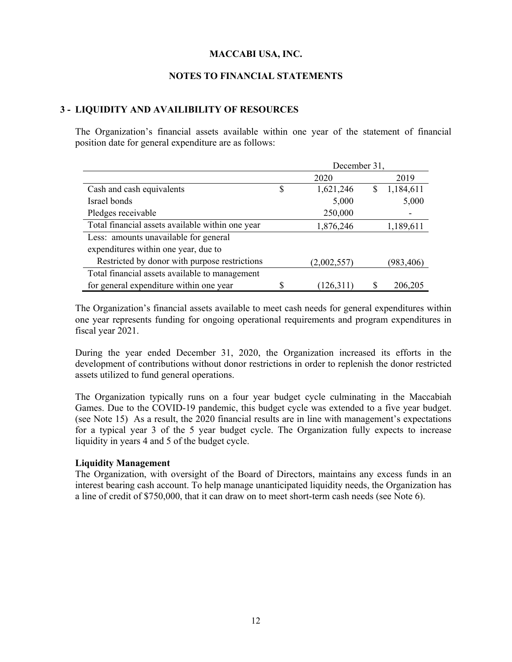#### **NOTES TO FINANCIAL STATEMENTS**

#### **3 - LIQUIDITY AND AVAILIBILITY OF RESOURCES**

The Organization's financial assets available within one year of the statement of financial position date for general expenditure are as follows:

|                                                  | December 31,    |   |            |  |  |  |
|--------------------------------------------------|-----------------|---|------------|--|--|--|
|                                                  | 2020            |   | 2019       |  |  |  |
| Cash and cash equivalents                        | \$<br>1,621,246 | S | 1,184,611  |  |  |  |
| Israel bonds                                     | 5,000           |   | 5,000      |  |  |  |
| Pledges receivable                               | 250,000         |   |            |  |  |  |
| Total financial assets available within one year | 1,876,246       |   | 1,189,611  |  |  |  |
| Less: amounts unavailable for general            |                 |   |            |  |  |  |
| expenditures within one year, due to             |                 |   |            |  |  |  |
| Restricted by donor with purpose restrictions    | (2,002,557)     |   | (983, 406) |  |  |  |
| Total financial assets available to management   |                 |   |            |  |  |  |
| for general expenditure within one year          | (126,311)       |   | 206,205    |  |  |  |

The Organization's financial assets available to meet cash needs for general expenditures within one year represents funding for ongoing operational requirements and program expenditures in fiscal year 2021.

During the year ended December 31, 2020, the Organization increased its efforts in the development of contributions without donor restrictions in order to replenish the donor restricted assets utilized to fund general operations.

The Organization typically runs on a four year budget cycle culminating in the Maccabiah Games. Due to the COVID-19 pandemic, this budget cycle was extended to a five year budget. (see Note 15) As a result, the 2020 financial results are in line with management's expectations for a typical year 3 of the 5 year budget cycle. The Organization fully expects to increase liquidity in years 4 and 5 of the budget cycle.

#### **Liquidity Management**

The Organization, with oversight of the Board of Directors, maintains any excess funds in an interest bearing cash account. To help manage unanticipated liquidity needs, the Organization has a line of credit of \$750,000, that it can draw on to meet short-term cash needs (see Note 6).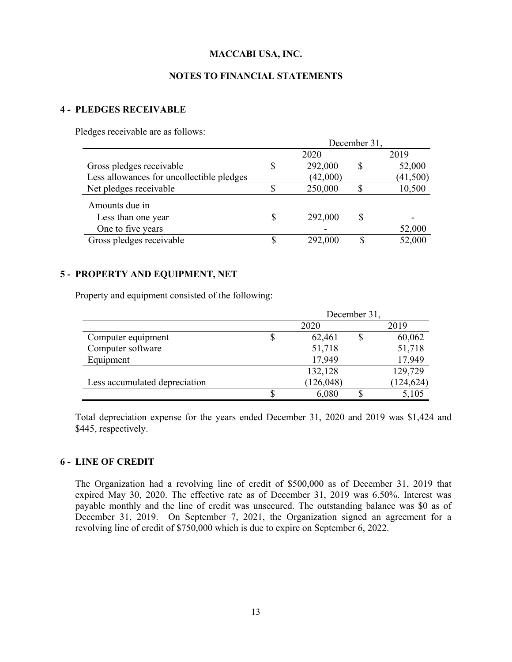## **NOTES TO FINANCIAL STATEMENTS**

## **4 - PLEDGES RECEIVABLE**

Pledges receivable are as follows:

|                                           | December 31, |          |   |          |  |  |  |  |
|-------------------------------------------|--------------|----------|---|----------|--|--|--|--|
|                                           |              | 2020     |   | 2019     |  |  |  |  |
| Gross pledges receivable                  |              | 292,000  | S | 52,000   |  |  |  |  |
| Less allowances for uncollectible pledges |              | (42,000) |   | (41,500) |  |  |  |  |
| Net pledges receivable                    |              | 250,000  |   | 10,500   |  |  |  |  |
| Amounts due in                            |              |          |   |          |  |  |  |  |
| Less than one year                        |              | 292,000  |   |          |  |  |  |  |
| One to five years                         |              |          |   | 52,000   |  |  |  |  |
| Gross pledges receivable                  |              | 292,000  |   | 52,000   |  |  |  |  |

#### **5 - PROPERTY AND EQUIPMENT, NET**

Property and equipment consisted of the following:

|                               | December 31, |  |            |  |  |  |  |  |
|-------------------------------|--------------|--|------------|--|--|--|--|--|
|                               | 2020         |  | 2019       |  |  |  |  |  |
| Computer equipment            | 62,461       |  | 60,062     |  |  |  |  |  |
| Computer software             | 51,718       |  | 51,718     |  |  |  |  |  |
| Equipment                     | 17,949       |  | 17,949     |  |  |  |  |  |
|                               | 132,128      |  | 129,729    |  |  |  |  |  |
| Less accumulated depreciation | (126, 048)   |  | (124, 624) |  |  |  |  |  |
|                               | 6,080        |  | 5,105      |  |  |  |  |  |

Total depreciation expense for the years ended December 31, 2020 and 2019 was \$1,424 and \$445, respectively.

#### **6 - LINE OF CREDIT**

The Organization had a revolving line of credit of \$500,000 as of December 31, 2019 that expired May 30, 2020. The effective rate as of December 31, 2019 was 6.50%. Interest was payable monthly and the line of credit was unsecured. The outstanding balance was \$0 as of December 31, 2019. On September 7, 2021, the Organization signed an agreement for a revolving line of credit of \$750,000 which is due to expire on September 6, 2022.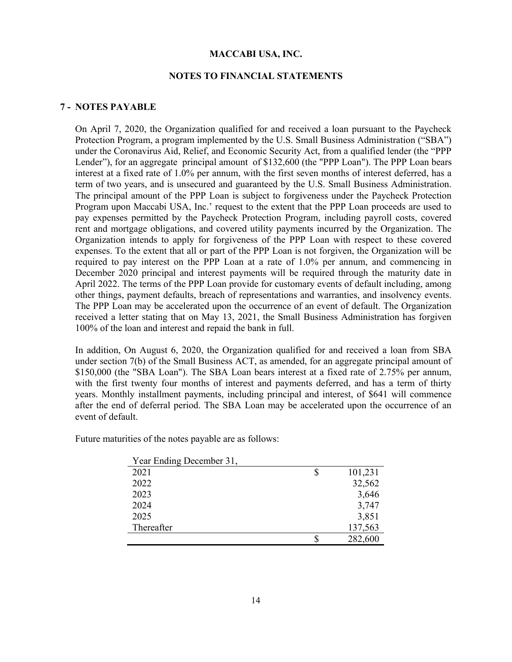#### **NOTES TO FINANCIAL STATEMENTS**

#### **7 - NOTES PAYABLE**

On April 7, 2020, the Organization qualified for and received a loan pursuant to the Paycheck Protection Program, a program implemented by the U.S. Small Business Administration ("SBA") under the Coronavirus Aid, Relief, and Economic Security Act, from a qualified lender (the "PPP Lender"), for an aggregate principal amount of \$132,600 (the "PPP Loan"). The PPP Loan bears interest at a fixed rate of 1.0% per annum, with the first seven months of interest deferred, has a term of two years, and is unsecured and guaranteed by the U.S. Small Business Administration. The principal amount of the PPP Loan is subject to forgiveness under the Paycheck Protection Program upon Maccabi USA, Inc.' request to the extent that the PPP Loan proceeds are used to pay expenses permitted by the Paycheck Protection Program, including payroll costs, covered rent and mortgage obligations, and covered utility payments incurred by the Organization. The Organization intends to apply for forgiveness of the PPP Loan with respect to these covered expenses. To the extent that all or part of the PPP Loan is not forgiven, the Organization will be required to pay interest on the PPP Loan at a rate of 1.0% per annum, and commencing in December 2020 principal and interest payments will be required through the maturity date in April 2022. The terms of the PPP Loan provide for customary events of default including, among other things, payment defaults, breach of representations and warranties, and insolvency events. The PPP Loan may be accelerated upon the occurrence of an event of default. The Organization received a letter stating that on May 13, 2021, the Small Business Administration has forgiven 100% of the loan and interest and repaid the bank in full.

In addition, On August 6, 2020, the Organization qualified for and received a loan from SBA under section 7(b) of the Small Business ACT, as amended, for an aggregate principal amount of \$150,000 (the "SBA Loan"). The SBA Loan bears interest at a fixed rate of 2.75% per annum, with the first twenty four months of interest and payments deferred, and has a term of thirty years. Monthly installment payments, including principal and interest, of \$641 will commence after the end of deferral period. The SBA Loan may be accelerated upon the occurrence of an event of default.

| Year Ending December 31, |   |         |
|--------------------------|---|---------|
| 2021                     | S | 101,231 |
| 2022                     |   | 32,562  |
| 2023                     |   | 3,646   |
| 2024                     |   | 3,747   |
| 2025                     |   | 3,851   |
| Thereafter               |   | 137,563 |
|                          |   | 282,600 |

Future maturities of the notes payable are as follows: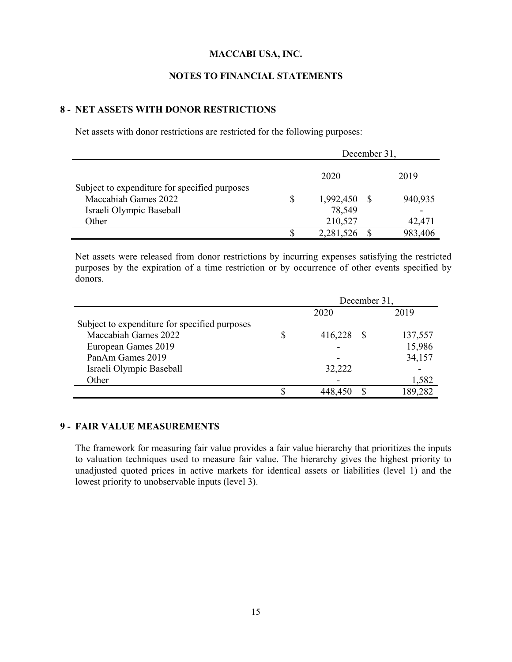## **NOTES TO FINANCIAL STATEMENTS**

## **8 - NET ASSETS WITH DONOR RESTRICTIONS**

Net assets with donor restrictions are restricted for the following purposes:

|                                               | December 31, |           |  |         |  |
|-----------------------------------------------|--------------|-----------|--|---------|--|
|                                               |              | 2020      |  | 2019    |  |
| Subject to expenditure for specified purposes |              |           |  |         |  |
| Maccabiah Games 2022                          | \$           | 1,992,450 |  | 940,935 |  |
| Israeli Olympic Baseball                      |              | 78,549    |  |         |  |
| Other                                         |              | 210,527   |  | 42,471  |  |
|                                               | S            | 2,281,526 |  | 983,406 |  |

Net assets were released from donor restrictions by incurring expenses satisfying the restricted purposes by the expiration of a time restriction or by occurrence of other events specified by donors.

|                                               | December 31, |         |  |  |  |
|-----------------------------------------------|--------------|---------|--|--|--|
|                                               | 2020         | 2019    |  |  |  |
| Subject to expenditure for specified purposes |              |         |  |  |  |
| Maccabiah Games 2022                          | 416,228      | 137,557 |  |  |  |
| European Games 2019                           |              | 15,986  |  |  |  |
| PanAm Games 2019                              |              | 34,157  |  |  |  |
| Israeli Olympic Baseball                      | 32,222       |         |  |  |  |
| Other                                         |              | 1,582   |  |  |  |
|                                               | 448.45       | 189,282 |  |  |  |

## **9 - FAIR VALUE MEASUREMENTS**

The framework for measuring fair value provides a fair value hierarchy that prioritizes the inputs to valuation techniques used to measure fair value. The hierarchy gives the highest priority to unadjusted quoted prices in active markets for identical assets or liabilities (level 1) and the lowest priority to unobservable inputs (level 3).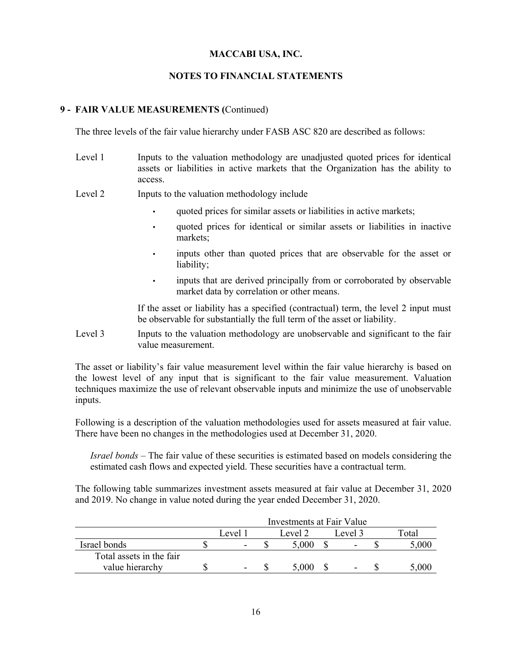#### **NOTES TO FINANCIAL STATEMENTS**

#### **9 - FAIR VALUE MEASUREMENTS (**Continued)

The three levels of the fair value hierarchy under FASB ASC 820 are described as follows:

Level 1 Inputs to the valuation methodology are unadjusted quoted prices for identical assets or liabilities in active markets that the Organization has the ability to access.

Level 2 Inputs to the valuation methodology include

- quoted prices for similar assets or liabilities in active markets;
- quoted prices for identical or similar assets or liabilities in inactive markets;
- inputs other than quoted prices that are observable for the asset or liability;
- inputs that are derived principally from or corroborated by observable market data by correlation or other means.

If the asset or liability has a specified (contractual) term, the level 2 input must be observable for substantially the full term of the asset or liability.

Level 3 Inputs to the valuation methodology are unobservable and significant to the fair value measurement.

The asset or liability's fair value measurement level within the fair value hierarchy is based on the lowest level of any input that is significant to the fair value measurement. Valuation techniques maximize the use of relevant observable inputs and minimize the use of unobservable inputs.

Following is a description of the valuation methodologies used for assets measured at fair value. There have been no changes in the methodologies used at December 31, 2020.

*Israel bonds* – The fair value of these securities is estimated based on models considering the estimated cash flows and expected yield. These securities have a contractual term.

The following table summarizes investment assets measured at fair value at December 31, 2020 and 2019. No change in value noted during the year ended December 31, 2020.

|                          | Investments at Fair Value |                          |  |         |  |                          |  |       |
|--------------------------|---------------------------|--------------------------|--|---------|--|--------------------------|--|-------|
|                          |                           | Level 1                  |  | Level 2 |  | Level 3                  |  | Total |
| Israel bonds             |                           | $\,$                     |  | 5.000   |  | -                        |  |       |
| Total assets in the fair |                           |                          |  |         |  |                          |  |       |
| value hierarchy          |                           | $\overline{\phantom{a}}$ |  | 5.000   |  | $\overline{\phantom{0}}$ |  |       |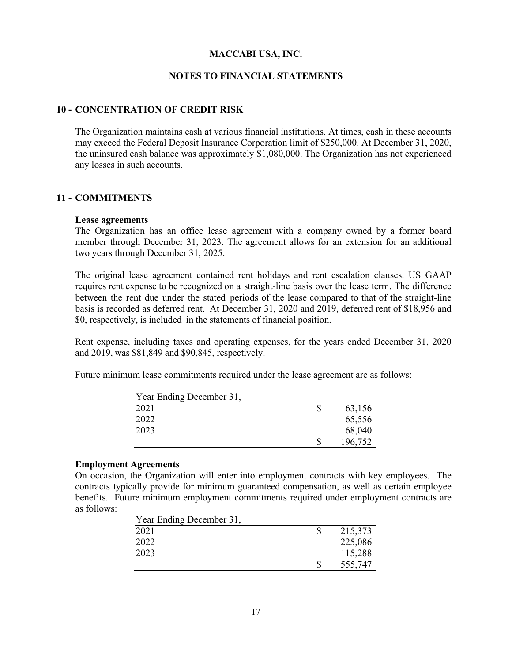#### **NOTES TO FINANCIAL STATEMENTS**

#### **10 - CONCENTRATION OF CREDIT RISK**

The Organization maintains cash at various financial institutions. At times, cash in these accounts may exceed the Federal Deposit Insurance Corporation limit of \$250,000. At December 31, 2020, the uninsured cash balance was approximately \$1,080,000. The Organization has not experienced any losses in such accounts.

#### **11 - COMMITMENTS**

#### **Lease agreements**

The Organization has an office lease agreement with a company owned by a former board member through December 31, 2023. The agreement allows for an extension for an additional two years through December 31, 2025.

The original lease agreement contained rent holidays and rent escalation clauses. US GAAP requires rent expense to be recognized on a straight-line basis over the lease term. The difference between the rent due under the stated periods of the lease compared to that of the straight-line basis is recorded as deferred rent. At December 31, 2020 and 2019, deferred rent of \$18,956 and \$0, respectively, is included in the statements of financial position.

Rent expense, including taxes and operating expenses, for the years ended December 31, 2020 and 2019, was \$81,849 and \$90,845, respectively.

Future minimum lease commitments required under the lease agreement are as follows:

| Year Ending December 31, |         |
|--------------------------|---------|
| 2021                     | 63,156  |
| 2022                     | 65,556  |
| 2023                     | 68,040  |
|                          | 196,752 |

#### **Employment Agreements**

On occasion, the Organization will enter into employment contracts with key employees. The contracts typically provide for minimum guaranteed compensation, as well as certain employee benefits. Future minimum employment commitments required under employment contracts are as follows:

| Year Ending December 31, |         |
|--------------------------|---------|
| 2021                     | 215,373 |
| 2022                     | 225,086 |
| 2023                     | 115,288 |
|                          | 555,747 |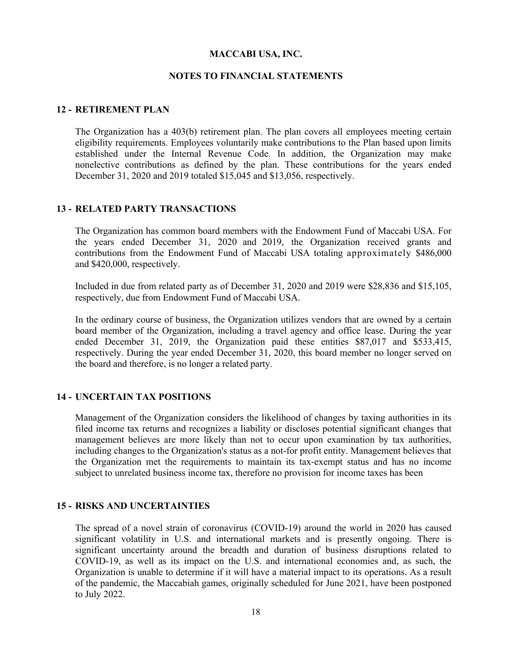#### **NOTES TO FINANCIAL STATEMENTS**

#### **12 - RETIREMENT PLAN**

The Organization has a 403(b) retirement plan. The plan covers all employees meeting certain eligibility requirements. Employees voluntarily make contributions to the Plan based upon limits established under the Internal Revenue Code. In addition, the Organization may make nonelective contributions as defined by the plan. These contributions for the years ended December 31, 2020 and 2019 totaled \$15,045 and \$13,056, respectively.

#### **13 - RELATED PARTY TRANSACTIONS**

The Organization has common board members with the Endowment Fund of Maccabi USA. For the years ended December 31, 2020 and 2019, the Organization received grants and contributions from the Endowment Fund of Maccabi USA totaling approximately \$486,000 and \$420,000, respectively.

Included in due from related party as of December 31, 2020 and 2019 were \$28,836 and \$15,105, respectively, due from Endowment Fund of Maccabi USA.

In the ordinary course of business, the Organization utilizes vendors that are owned by a certain board member of the Organization, including a travel agency and office lease. During the year ended December 31, 2019, the Organization paid these entities \$87,017 and \$533,415, respectively. During the year ended December 31, 2020, this board member no longer served on the board and therefore, is no longer a related party.

#### **14 - UNCERTAIN TAX POSITIONS**

Management of the Organization considers the likelihood of changes by taxing authorities in its filed income tax returns and recognizes a liability or discloses potential significant changes that management believes are more likely than not to occur upon examination by tax authorities, including changes to the Organization's status as a not-for profit entity. Management believes that the Organization met the requirements to maintain its tax-exempt status and has no income subject to unrelated business income tax, therefore no provision for income taxes has been

#### **15 - RISKS AND UNCERTAINTIES**

The spread of a novel strain of coronavirus (COVID-19) around the world in 2020 has caused significant volatility in U.S. and international markets and is presently ongoing. There is significant uncertainty around the breadth and duration of business disruptions related to COVID-19, as well as its impact on the U.S. and international economies and, as such, the Organization is unable to determine if it will have a material impact to its operations. As a result of the pandemic, the Maccabiah games, originally scheduled for June 2021, have been postponed to July 2022.